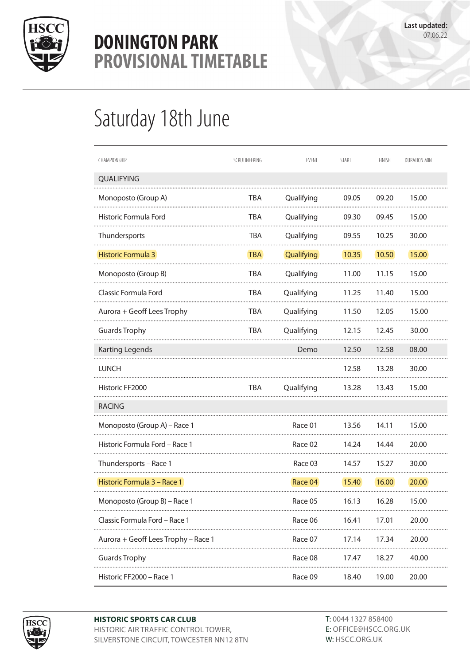

## **DONINGTON PARK** Provisional Timetable Provisional Timetable **PROVISIONAL TIMETABLE**

## Saturday 18th June

| CHAMPIONSHIP                        | SCRUTINEERING | EVENT      | <b>START</b> | <b>FINISH</b> | <b>DURATION MIN</b> |
|-------------------------------------|---------------|------------|--------------|---------------|---------------------|
| QUALIFYING                          |               |            |              |               |                     |
| Monoposto (Group A)                 | TBA           | Qualifying | 09.05        | 09.20         | 15.00               |
| Historic Formula Ford               | <b>TBA</b>    | Qualifying | 09.30        | 09.45         | 15.00               |
| Thundersports                       | <b>TBA</b>    | Qualifying | 09.55        | 10.25         | 30.00               |
| Historic Formula 3                  | <b>TBA</b>    | Qualifying | 10.35        | 10.50         | 15.00               |
| Monoposto (Group B)                 | TBA           | Qualifying | 11.00        | 11.15         | 15.00               |
| Classic Formula Ford                | <b>TBA</b>    | Qualifying | 11.25        | 11.40         | 15.00               |
| Aurora + Geoff Lees Trophy          | TBA           | Qualifying | 11.50        | 12.05         | 15.00               |
| <b>Guards Trophy</b>                | <b>TBA</b>    | Qualifying | 12.15        | 12.45         | 30.00               |
| Karting Legends                     |               | Demo       | 12.50        | 12.58         | 08.00               |
| <b>LUNCH</b>                        |               |            | 12.58        | 13.28         | 30.00               |
| Historic FF2000                     | TBA           | Qualifying | 13.28        | 13.43         | 15.00               |
| <b>RACING</b>                       |               |            |              |               |                     |
| Monoposto (Group A) – Race 1        |               | Race 01    | 13.56        | 14.11         | 15.00               |
| Historic Formula Ford - Race 1      |               | Race 02    | 14.24        | 14.44         | 20.00               |
| Thundersports – Race 1              |               | Race 03    | 14.57        | 15.27         | 30.00               |
| Historic Formula 3 – Race 1         |               | Race 04    | 15.40        | 16.00         | 20.00               |
| Monoposto (Group B) - Race 1        |               | Race 05    | 16.13        | 16.28         | 15.00               |
| Classic Formula Ford - Race 1       |               | Race 06    | 16.41        | 17.01         | 20.00               |
| Aurora + Geoff Lees Trophy - Race 1 |               | Race 07    | 17.14        | 17.34         | 20.00               |
| <b>Guards Trophy</b>                |               | Race 08    | 17.47        | 18.27         | 40.00               |
| Historic FF2000 - Race 1            |               | Race 09    | 18.40        | 19.00         | 20.00               |



**HISTORIC SPORTS CAR CLUB** HISTORIC AIR TRAFFIC CONTROL TOWER, SILVERSTONE CIRCUIT, TOWCESTER NN12 8TN T: 0044 1327 858400 E: OFFICE@HSCC.ORG.UK W: HSCC.ORG.UK